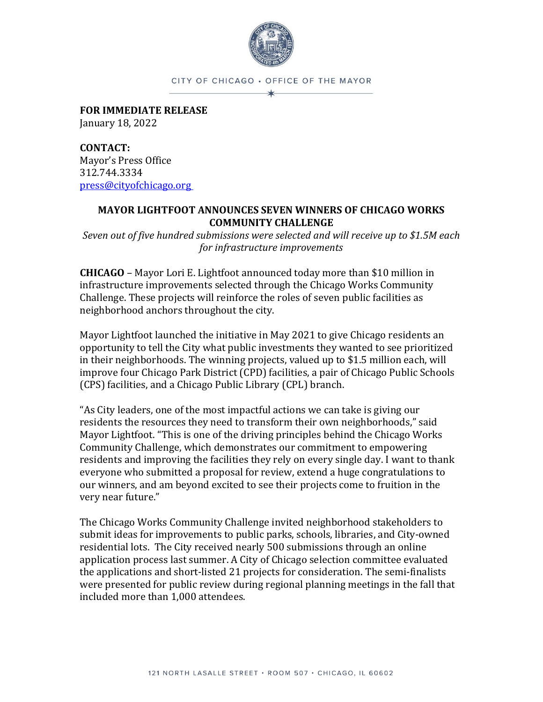

CITY OF CHICAGO · OFFICE OF THE MAYOR  $\star$ 

**FOR IMMEDIATE RELEASE** January 18, 2022

**CONTACT:** Mayor's Press Office 312.744.3334 [press@cityofchicago.org](mailto:press@cityofchicago.org)

#### **MAYOR LIGHTFOOT ANNOUNCES SEVEN WINNERS OF CHICAGO WORKS COMMUNITY CHALLENGE**

*Seven out of five hundred submissions were selected and will receive up to \$1.5M each for infrastructure improvements*

**CHICAGO** – Mayor Lori E. Lightfoot announced today more than \$10 million in infrastructure improvements selected through the Chicago Works Community Challenge. These projects will reinforce the roles of seven public facilities as neighborhood anchors throughout the city.

Mayor Lightfoot launched the initiative in May 2021 to give Chicago residents an opportunity to tell the City what public investments they wanted to see prioritized in their neighborhoods. The winning projects, valued up to \$1.5 million each, will improve four Chicago Park District (CPD) facilities, a pair of Chicago Public Schools (CPS) facilities, and a Chicago Public Library (CPL) branch.

"As City leaders, one of the most impactful actions we can take is giving our residents the resources they need to transform their own neighborhoods," said Mayor Lightfoot. "This is one of the driving principles behind the Chicago Works Community Challenge, which demonstrates our commitment to empowering residents and improving the facilities they rely on every single day. I want to thank everyone who submitted a proposal for review, extend a huge congratulations to our winners, and am beyond excited to see their projects come to fruition in the very near future."

The Chicago Works Community Challenge invited neighborhood stakeholders to submit ideas for improvements to public parks, schools, libraries, and City-owned residential lots. The City received nearly 500 submissions through an online application process last summer. A City of Chicago selection committee evaluated the applications and short-listed 21 projects for consideration. The semi-finalists were presented for public review during regional planning meetings in the fall that included more than 1,000 attendees.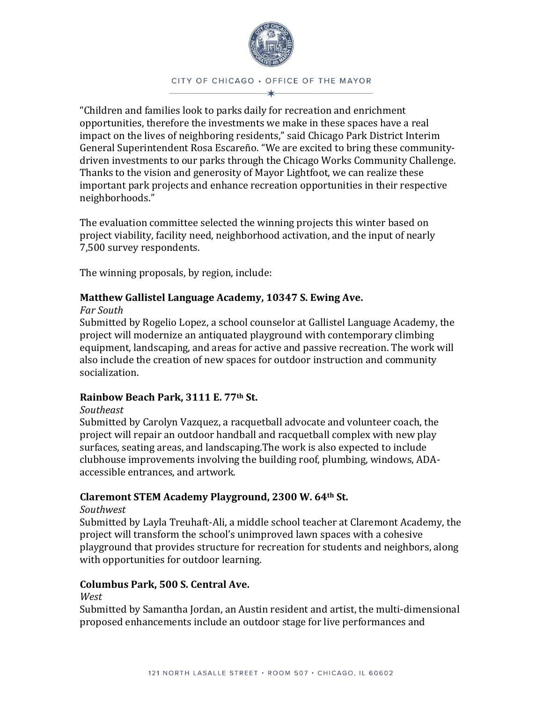

CITY OF CHICAGO · OFFICE OF THE MAYOR

"Children and families look to parks daily for recreation and enrichment opportunities, therefore the investments we make in these spaces have a real impact on the lives of neighboring residents," said Chicago Park District Interim General Superintendent Rosa Escareño. "We are excited to bring these communitydriven investments to our parks through the Chicago Works Community Challenge. Thanks to the vision and generosity of Mayor Lightfoot, we can realize these important park projects and enhance recreation opportunities in their respective neighborhoods."

The evaluation committee selected the winning projects this winter based on project viability, facility need, neighborhood activation, and the input of nearly 7,500 survey respondents.

The winning proposals, by region, include:

### **Matthew Gallistel Language Academy, 10347 S. Ewing Ave.**

#### *Far South*

Submitted by Rogelio Lopez, a school counselor at Gallistel Language Academy, the project will modernize an antiquated playground with contemporary climbing equipment, landscaping, and areas for active and passive recreation. The work will also include the creation of new spaces for outdoor instruction and community socialization.

#### **Rainbow Beach Park, 3111 E. 77th St.**

#### *Southeast*

Submitted by Carolyn Vazquez, a racquetball advocate and volunteer coach, the project will repair an outdoor handball and racquetball complex with new play surfaces, seating areas, and landscaping.The work is also expected to include clubhouse improvements involving the building roof, plumbing, windows, ADAaccessible entrances, and artwork.

## **Claremont STEM Academy Playground, 2300 W. 64th St.**

#### *Southwest*

Submitted by Layla Treuhaft-Ali, a middle school teacher at Claremont Academy, the project will transform the school's unimproved lawn spaces with a cohesive playground that provides structure for recreation for students and neighbors, along with opportunities for outdoor learning.

#### **Columbus Park, 500 S. Central Ave.**

#### *West*

Submitted by Samantha Jordan, an Austin resident and artist, the multi-dimensional proposed enhancements include an outdoor stage for live performances and